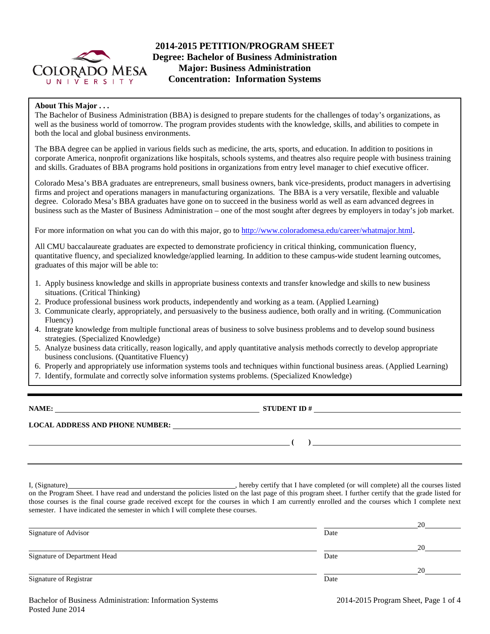

# **2014-2015 PETITION/PROGRAM SHEET Degree: Bachelor of Business Administration Major: Business Administration Concentration: Information Systems**

### **About This Major . . .**

The Bachelor of Business Administration (BBA) is designed to prepare students for the challenges of today's organizations, as well as the business world of tomorrow. The program provides students with the knowledge, skills, and abilities to compete in both the local and global business environments.

The BBA degree can be applied in various fields such as medicine, the arts, sports, and education. In addition to positions in corporate America, nonprofit organizations like hospitals, schools systems, and theatres also require people with business training and skills. Graduates of BBA programs hold positions in organizations from entry level manager to chief executive officer.

Colorado Mesa's BBA graduates are entrepreneurs, small business owners, bank vice-presidents, product managers in advertising firms and project and operations managers in manufacturing organizations. The BBA is a very versatile, flexible and valuable degree. Colorado Mesa's BBA graduates have gone on to succeed in the business world as well as earn advanced degrees in business such as the Master of Business Administration – one of the most sought after degrees by employers in today's job market.

For more information on what you can do with this major, go to [http://www.coloradomesa.edu/career/whatmajor.html.](http://www.coloradomesa.edu/career/whatmajor.html)

All CMU baccalaureate graduates are expected to demonstrate proficiency in critical thinking, communication fluency, quantitative fluency, and specialized knowledge/applied learning. In addition to these campus-wide student learning outcomes, graduates of this major will be able to:

- 1. Apply business knowledge and skills in appropriate business contexts and transfer knowledge and skills to new business situations. (Critical Thinking)
- 2. Produce professional business work products, independently and working as a team. (Applied Learning)
- 3. Communicate clearly, appropriately, and persuasively to the business audience, both orally and in writing. (Communication Fluency)
- 4. Integrate knowledge from multiple functional areas of business to solve business problems and to develop sound business strategies. (Specialized Knowledge)
- 5. Analyze business data critically, reason logically, and apply quantitative analysis methods correctly to develop appropriate business conclusions. (Quantitative Fluency)
- 6. Properly and appropriately use information systems tools and techniques within functional business areas. (Applied Learning)
- 7. Identify, formulate and correctly solve information systems problems. (Specialized Knowledge)

**NAME: STUDENT ID # STUDENT ID # STUDENT ID # STUDENT ID # STUDENT ID # STUDENT ID # STUDENT ID # STUDENT ID # STUDENT ID # STUDENT ID # STUDENT ID # STUDENT ID # STUDENT ID # STUDENT ID # STU** 

**LOCAL ADDRESS AND PHONE NUMBER:**

**( )** 

I, (Signature) , hereby certify that I have completed (or will complete) all the courses listed on the Program Sheet. I have read and understand the policies listed on the last page of this program sheet. I further certify that the grade listed for those courses is the final course grade received except for the courses in which I am currently enrolled and the courses which I complete next semester. I have indicated the semester in which I will complete these courses.

|                              |      | 20 |
|------------------------------|------|----|
| Signature of Advisor         | Date |    |
|                              |      | 20 |
| Signature of Department Head | Date |    |
|                              |      | 20 |
| Signature of Registrar       | Date |    |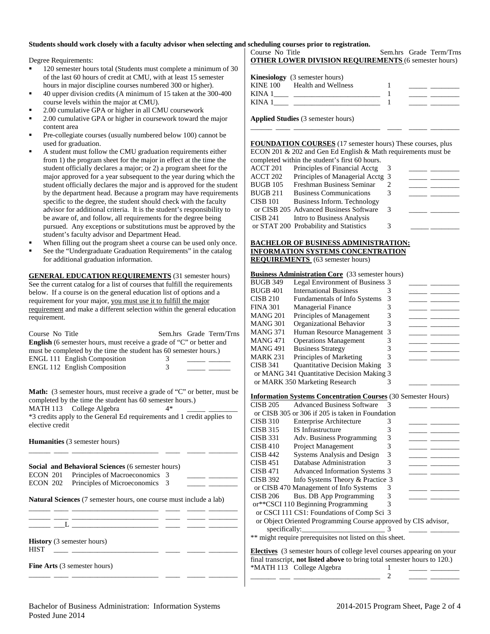#### **Students should work closely with a faculty advisor when selecting and scheduling courses prior to registration.**

Degree Requirements:

- **120** semester hours total (Students must complete a minimum of 30 of the last 60 hours of credit at CMU, with at least 15 semester hours in major discipline courses numbered 300 or higher).
- 40 upper division credits (A minimum of 15 taken at the 300-400 course levels within the major at CMU).
- 2.00 cumulative GPA or higher in all CMU coursework
- 2.00 cumulative GPA or higher in coursework toward the major content area
- Pre-collegiate courses (usually numbered below 100) cannot be used for graduation.
- A student must follow the CMU graduation requirements either from 1) the program sheet for the major in effect at the time the student officially declares a major; or 2) a program sheet for the major approved for a year subsequent to the year during which the student officially declares the major and is approved for the student by the department head. Because a program may have requirements specific to the degree, the student should check with the faculty advisor for additional criteria. It is the student's responsibility to be aware of, and follow, all requirements for the degree being pursued. Any exceptions or substitutions must be approved by the student's faculty advisor and Department Head.
- When filling out the program sheet a course can be used only once.
- See the "Undergraduate Graduation Requirements" in the catalog for additional graduation information.

**GENERAL EDUCATION REQUIREMENTS** (31 semester hours) See the current catalog for a list of courses that fulfill the requirements below. If a course is on the general education list of options and a requirement for your major, you must use it to fulfill the major requirement and make a different selection within the general education requirement.

| Course No Title                                                             |   | Sem.hrs Grade Term/Trns |
|-----------------------------------------------------------------------------|---|-------------------------|
| <b>English</b> (6 semester hours, must receive a grade of "C" or better and |   |                         |
| must be completed by the time the student has 60 semester hours.)           |   |                         |
| <b>ENGL 111 English Composition</b>                                         | 3 |                         |
| <b>ENGL 112 English Composition</b>                                         | 3 |                         |
|                                                                             |   |                         |

Math: (3 semester hours, must receive a grade of "C" or better, must be completed by the time the student has 60 semester hours.)<br>MATH 113 College Algebra  $4*$ 

MATH 113 College Algebra \*3 credits apply to the General Ed requirements and 1 credit applies to elective credit

\_\_\_\_\_\_ \_\_\_\_ \_\_\_\_\_\_\_\_\_\_\_\_\_\_\_\_\_\_\_\_\_\_\_\_ \_\_\_\_ \_\_\_\_\_ \_\_\_\_\_\_\_\_

**Humanities** (3 semester hours)

**Social and Behavioral Sciences** (6 semester hours) ECON 201 Principles of Macroeconomics 3 ECON 202 Principles of Microeconomics 3

**Natural Sciences** (7 semester hours, one course must include a lab) \_\_\_\_\_\_ \_\_\_\_ \_\_\_\_\_\_\_\_\_\_\_\_\_\_\_\_\_\_\_\_\_\_\_\_ \_\_\_\_ \_\_\_\_\_ \_\_\_\_\_\_\_\_

|  | <b>History</b> (3 semester hours) |  |
|--|-----------------------------------|--|

| нтст<br>1 LU 1 |  |  |  |
|----------------|--|--|--|
|                |  |  |  |

**Fine Arts** (3 semester hours)

Course No Title Sem.hrs Grade Term/Trns **OTHER LOWER DIVISION REQUIREMENTS** (6 semester hours)

|             | <b>Kinesiology</b> (3 semester hours) |  |
|-------------|---------------------------------------|--|
|             | KINE 100 Health and Wellness          |  |
| <b>KINA</b> |                                       |  |
| KINA.       |                                       |  |

**Applied Studies** (3 semester hours)

**FOUNDATION COURSES** (17 semester hours) These courses, plus ECON 201 & 202 and Gen Ed English & Math requirements must be completed within the student's first 60 hours.

\_\_\_\_\_\_ \_\_\_\_ \_\_\_\_\_\_\_\_\_\_\_\_\_\_\_\_\_\_\_\_\_\_\_\_ \_\_\_\_ \_\_\_\_\_ \_\_\_\_\_\_\_\_

| ACCT 201 | Principles of Financial Acctg          |   |  |
|----------|----------------------------------------|---|--|
| ACCT 202 | Principles of Managerial Acctg 3       |   |  |
| BUGB 105 | Freshman Business Seminar              |   |  |
| BUGB 211 | <b>Business Communications</b>         |   |  |
| CISB 101 | Business Inform. Technology            |   |  |
|          | or CISB 205 Advanced Business Software | 3 |  |
| CISB 241 | Intro to Business Analysis             |   |  |
|          | or STAT 200 Probability and Statistics |   |  |
|          |                                        |   |  |

#### **BACHELOR OF BUSINESS ADMINISTRATION: INFORMATION SYSTEMS CONCENTRATION REQUIREMENTS** (63 semester hours)

#### **Business Administration Core** (33 semester hours)

| <b>BUGB 349</b> | Legal Environment of Business 3            |   |  |
|-----------------|--------------------------------------------|---|--|
| BUGB 401        | <b>International Business</b>              |   |  |
| CISB 210        | <b>Fundamentals of Info Systems</b>        | 3 |  |
| FINA 301        | <b>Managerial Finance</b>                  |   |  |
| MANG 201        | Principles of Management                   | 3 |  |
| MANG 301        | Organizational Behavior                    |   |  |
| MANG 371        | Human Resource Management 3                |   |  |
| MANG 471        | <b>Operations Management</b>               |   |  |
| MANG 491        | <b>Business Strategy</b>                   |   |  |
| MARK 231        | Principles of Marketing                    |   |  |
| CISB 341        | <b>Quantitative Decision Making</b>        | 3 |  |
|                 | or MANG 341 Quantitative Decision Making 3 |   |  |
|                 | or MARK 350 Marketing Research             |   |  |
|                 |                                            |   |  |

#### **Information Systems Concentration Courses** (30 Semester Hours)

| <b>CISB 205</b>                                                               | <b>Advanced Business Software</b>                                         | 3 |  |  |  |
|-------------------------------------------------------------------------------|---------------------------------------------------------------------------|---|--|--|--|
|                                                                               | or CISB 305 or 306 if 205 is taken in Foundation                          |   |  |  |  |
| <b>CISB 310</b>                                                               | Enterprise Architecture                                                   | 3 |  |  |  |
| <b>CISB 315</b>                                                               | <b>IS</b> Infrastructure                                                  | 3 |  |  |  |
| <b>CISB 331</b>                                                               | Adv. Business Programming                                                 | 3 |  |  |  |
| <b>CISB 410</b>                                                               | <b>Project Management</b>                                                 | 3 |  |  |  |
| <b>CISB 442</b>                                                               | Systems Analysis and Design                                               | 3 |  |  |  |
| <b>CISB 451</b>                                                               | Database Administration                                                   | 3 |  |  |  |
| <b>CISB 471</b>                                                               | <b>Advanced Information Systems 3</b>                                     |   |  |  |  |
| <b>CISB 392</b>                                                               | Info Systems Theory & Practice 3                                          |   |  |  |  |
|                                                                               | or CISB 470 Management of Info Systems                                    | 3 |  |  |  |
| <b>CISB 206</b>                                                               | Bus. DB App Programming                                                   | 3 |  |  |  |
|                                                                               | or**CSCI 110 Beginning Programming                                        |   |  |  |  |
|                                                                               | or CSCI 111 CS1: Foundations of Comp Sci 3                                |   |  |  |  |
|                                                                               | or Object Oriented Programming Course approved by CIS advisor,            |   |  |  |  |
| specifically:                                                                 |                                                                           | 3 |  |  |  |
|                                                                               | ** might require prerequisites not listed on this sheet.                  |   |  |  |  |
| <b>Electives</b> (3 semester hours of college level courses appearing on your |                                                                           |   |  |  |  |
|                                                                               | final transcript, not listed above to bring total semester hours to 120.) |   |  |  |  |
|                                                                               | *MATH 113 College Algebra                                                 |   |  |  |  |

\_\_\_\_\_\_\_ \_\_\_ \_\_\_\_\_\_\_\_\_\_\_\_\_\_\_\_\_\_\_\_\_\_\_\_ 2 \_\_\_\_\_ \_\_\_\_\_\_\_\_

\_\_\_\_\_\_ \_\_\_\_ \_\_\_\_\_\_\_\_\_\_\_\_\_\_\_\_\_\_\_\_\_\_\_\_ \_\_\_\_ \_\_\_\_\_ \_\_\_\_\_\_\_\_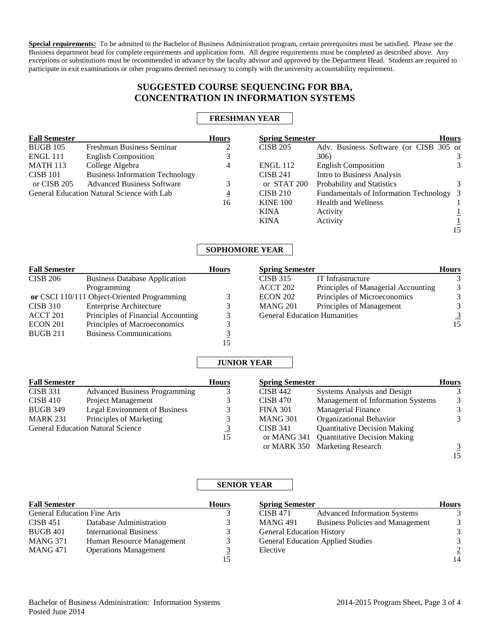**Special requirements:** To be admitted to the Bachelor of Business Administration program, certain prerequisites must be satisfied. Please see the Business department head for complete requirements and application form. All degree requirements must be completed as described above. Any exceptions or substitutions must be recommended in advance by the faculty advisor and approved by the Department Head. Students are required to participate in exit examinations or other programs deemed necessary to comply with the university accountability requirement.

# **SUGGESTED COURSE SEQUENCING FOR BBA, CONCENTRATION IN INFORMATION SYSTEMS**

## **FRESHMAN YEAR**

| <b>Fall Semester</b> |                                            | <b>Hours</b>   | <b>Spring Semester</b> |                                          | <b>Hours</b> |
|----------------------|--------------------------------------------|----------------|------------------------|------------------------------------------|--------------|
| <b>BUGB 105</b>      | Freshman Business Seminar                  |                | <b>CISB 205</b>        | Adv. Business Software (or CISB 305 or   |              |
| ENGL 111             | <b>English Composition</b>                 | 3              |                        | 306)                                     | 3            |
| <b>MATH 113</b>      | College Algebra                            | 4              | <b>ENGL 112</b>        | <b>English Composition</b>               |              |
| <b>CISB 101</b>      | <b>Business Information Technology</b>     |                | <b>CISB 241</b>        | Intro to Business Analysis               |              |
| or CISB 205          | <b>Advanced Business Software</b>          | 3              | or STAT 200            | Probability and Statistics               | 3            |
|                      | General Education Natural Science with Lab | $\overline{4}$ | CISE 210               | Fundamentals of Information Technology 3 |              |
|                      |                                            | 16             | <b>KINE 100</b>        | <b>Health and Wellness</b>               |              |
|                      |                                            |                | <b>KINA</b>            | Activity                                 |              |
|                      |                                            |                | <b>KINA</b>            | Activity                                 |              |
|                      |                                            |                |                        |                                          | 15           |

## **SOPHOMORE YEAR**

| <b>Fall Semester</b> |                                             | <b>Hours</b> |
|----------------------|---------------------------------------------|--------------|
| <b>CISB 206</b>      | <b>Business Database Application</b>        |              |
|                      | Programming                                 |              |
|                      | or CSCI 110/111 Object-Oriented Programming |              |
| <b>CISB 310</b>      | Enterprise Architecture                     |              |
| ACCT <sub>201</sub>  | Principles of Financial Accounting          |              |
| <b>ECON 201</b>      | Principles of Macroeconomics                |              |
| <b>BUGB 211</b>      | <b>Business Communications</b>              | 3            |
|                      |                                             |              |

| <b>Spring Semester</b>              |                                     | <b>Hours</b> |
|-------------------------------------|-------------------------------------|--------------|
| <b>CISB 315</b>                     | IT Infrastructure                   |              |
| ACCT 202                            | Principles of Managerial Accounting |              |
| <b>ECON 202</b>                     | Principles of Microeconomics        |              |
| <b>MANG 201</b>                     | Principles of Management            |              |
| <b>General Education Humanities</b> |                                     |              |
|                                     |                                     |              |

### **JUNIOR YEAR**

| <b>Fall Semester</b>                     |                                      | <b>Hours</b> | <b>Spring Semester</b> |                                     | <b>Hours</b> |
|------------------------------------------|--------------------------------------|--------------|------------------------|-------------------------------------|--------------|
| <b>CISB 331</b>                          | <b>Advanced Business Programming</b> |              | <b>CISB 442</b>        | Systems Analysis and Design         |              |
| <b>CISB 410</b>                          | Project Management                   |              | CISB 470               | Management of Information Systems   | 3            |
| <b>BUGB 349</b>                          | Legal Environment of Business        |              | <b>FINA 301</b>        | <b>Managerial Finance</b>           | 3            |
| <b>MARK 231</b>                          | Principles of Marketing              |              | <b>MANG 301</b>        | Organizational Behavior             |              |
| <b>General Education Natural Science</b> |                                      | <u>3</u>     | <b>CISB 341</b>        | <b>Quantitative Decision Making</b> |              |
|                                          |                                      | 15           | or MANG 341            | <b>Quantitative Decision Making</b> |              |
|                                          |                                      |              |                        | or MARK 350 Marketing Research      |              |

### **SENIOR YEAR**

| <b>Fall Semester</b><br><b>General Education Fine Arts</b> |                               | <b>Hours</b> | <b>Spring Semester</b>                   |                                         | <b>Hours</b>   |
|------------------------------------------------------------|-------------------------------|--------------|------------------------------------------|-----------------------------------------|----------------|
|                                                            |                               |              | <b>CISB 471</b>                          | <b>Advanced Information Systems</b>     |                |
| <b>CISB 451</b>                                            | Database Administration       |              | <b>MANG 491</b>                          | <b>Business Policies and Management</b> | 3              |
| <b>BUGB 401</b>                                            | <b>International Business</b> |              | <b>General Education History</b>         |                                         | 3              |
| <b>MANG 371</b>                                            | Human Resource Management     |              | <b>General Education Applied Studies</b> |                                         | 3              |
| <b>MANG 471</b>                                            | <b>Operations Management</b>  |              | Elective                                 |                                         | $\overline{2}$ |
|                                                            |                               | 15           |                                          |                                         | 14             |

15